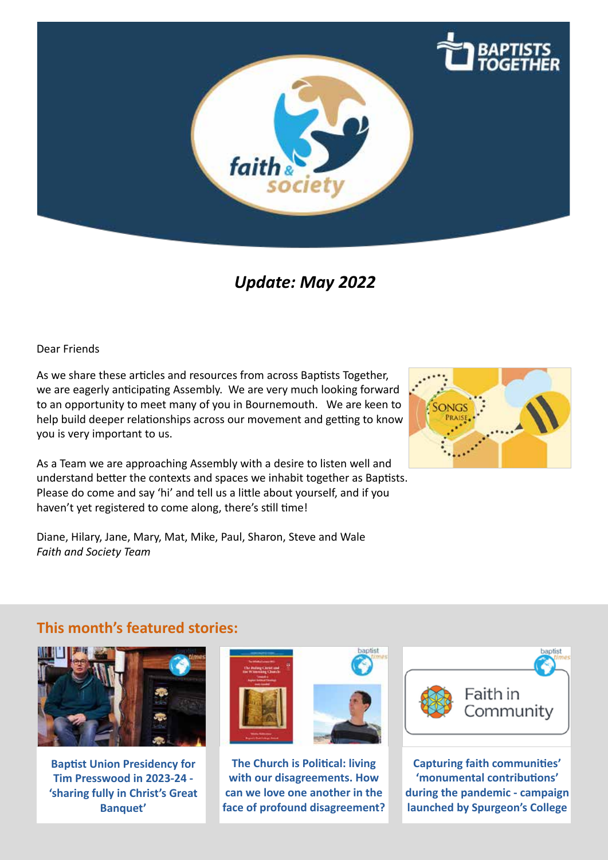

# *Update: May 2022*

Dear Friends

As we share these articles and resources from across Baptists Together, we are eagerly anticipating Assembly. We are very much looking forward to an opportunity to meet many of you in Bournemouth. We are keen to help build deeper relationships across our movement and getting to know you is very important to us.

As a Team we are approaching Assembly with a desire to listen well and understand better the contexts and spaces we inhabit together as Baptists. Please do come and say 'hi' and tell us a little about yourself, and if you haven't yet registered to come along, there's still time!

Diane, Hilary, Jane, Mary, Mat, Mike, Paul, Sharon, Steve and Wale *Faith and Society Team*



# **This month's featured stories:**



**[Baptist Union Presidency for](https://www.baptist.org.uk/Articles/634345/Baptist_Union_Presidency.aspx)  [Tim Presswood](https://www.baptist.org.uk/Articles/634345/Baptist_Union_Presidency.aspx) in 2023-24 - 'sharing fully in Christ's Great Banquet'**



**[The Church is Political: living](https://www.baptist.org.uk/Articles/634708/The_Church_is.aspx)  [with our disagreements. How](https://www.baptist.org.uk/Articles/634708/The_Church_is.aspx)  [can we love one another in the](https://www.baptist.org.uk/Articles/634708/The_Church_is.aspx)  [face of profound disagreement?](https://www.baptist.org.uk/Articles/634708/The_Church_is.aspx)**



**[Capturing faith communities'](https://www.baptist.org.uk/Articles/633900/Capturing_faith_communities.aspx)  ['monumental contributions'](https://www.baptist.org.uk/Articles/633900/Capturing_faith_communities.aspx)  [during the pandemic](https://www.baptist.org.uk/Articles/633900/Capturing_faith_communities.aspx) - campaign launched by Spurgeon's College**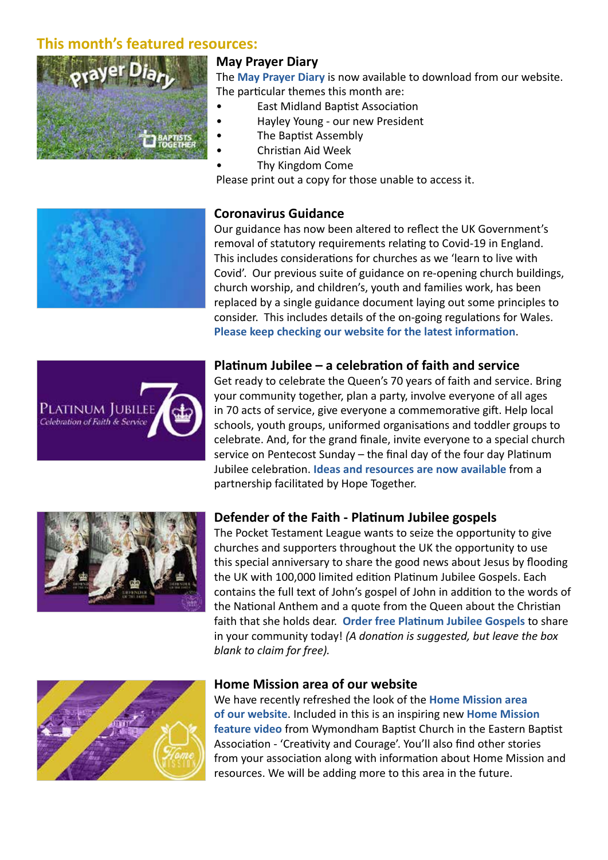# **This month's featured resources:**



### **May Prayer Diary**

The **Ma[y Prayer Diary](https://www.baptist.org.uk/Articles/633532/BU_Prayer_Diary.aspx)** is now available to download from our website. The particular themes this month are:

- East Midland Baptist Association
- Hayley Young our new President
- The Baptist Assembly
- Christian Aid Week
- Thy Kingdom Come

Please print out a copy for those unable to access it.

### **Coronavirus Guidance**

Our guidance has now been altered to reflect the UK Government's removal of statutory requirements relating to Covid-19 in England. This includes considerations for churches as we 'learn to live with Covid'. Our previous suite of guidance on re-opening church buildings, church worship, and children's, youth and families work, has been replaced by a single guidance document laying out some principles to consider. This includes details of the on-going regulations for Wales. **[Please keep checking our website for the latest information](https://www.baptist.org.uk/Groups/338267/Essential_Guidance.aspx)**.



## **Platinum Jubilee – a celebration of faith and service**

Get ready to celebrate the Queen's 70 years of faith and service. Bring your community together, plan a party, involve everyone of all ages in 70 acts of service, give everyone a commemorative gift. Help local schools, youth groups, uniformed organisations and toddler groups to celebrate. And, for the grand finale, invite everyone to a special church service on Pentecost Sunday – the final day of the four day Platinum Jubilee celebration. **[Ideas and resources are now available](https://www.theplatinumjubilee.com)** from a partnership facilitated by Hope Together.



### **Defender of the Faith - Platinum Jubilee gospels**

The Pocket Testament League wants to seize the opportunity to give churches and supporters throughout the UK the opportunity to use this special anniversary to share the good news about Jesus by flooding the UK with 100,000 limited edition Platinum Jubilee Gospels. Each contains the full text of John's gospel of John in addition to the words of the National Anthem and a quote from the Queen about the Christian faith that she holds dear. **[Order free Platinum Jubilee Gospels](http://www.ptluk.org/jubilee)** to share in your community today! *(A donation is suggested, but leave the box blank to claim for free).*



#### **Home Mission area of our website**

We have recently refreshed the look of the **[Home Mission area](https://www.baptist.org.uk/homemission)  [of our website](https://www.baptist.org.uk/homemission)**. Included in this is an inspiring new **[Home Mission](https://www.baptist.org.uk/Articles/631926/Creativity_and_Courage.aspx)  [feature video](https://www.baptist.org.uk/Articles/631926/Creativity_and_Courage.aspx)** from Wymondham Baptist Church in the Eastern Baptist Association - 'Creativity and Courage'. You'll also find other stories from your association along with information about Home Mission and resources. We will be adding more to this area in the future.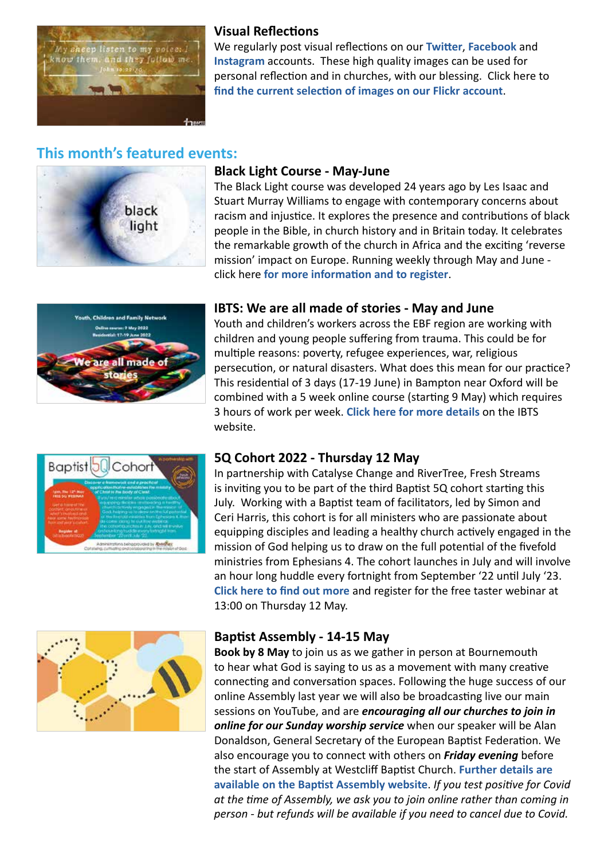

### **Visual Reflections**

We regularly post visual reflections on our **[Twitter](https://twitter.com/baptistuniongb)**, **[Facebook](https://www.facebook.com/baptistuniongb/)** and **[Instagram](https://www.instagram.com/baptiststogether/)** accounts. These high quality images can be used for personal reflection and in churches, with our blessing. Click here to **[find the current selection of images on our Flickr account](https://www.flickr.com/photos/bugb/albums/72157667085370693)**.

# **This month's featured events:**



### **Black Light Course - May-June**

The Black Light course was developed 24 years ago by Les Isaac and Stuart Murray Williams to engage with contemporary concerns about racism and injustice. It explores the presence and contributions of black people in the Bible, in church history and in Britain today. It celebrates the remarkable growth of the church in Africa and the exciting 'reverse mission' impact on Europe. Running weekly through May and June click here **[for more information and to register](https://www.blacklightcourse.uk/)**.



### **IBTS: We are all made of stories - May and June**

Youth and children's workers across the EBF region are working with children and young people suffering from trauma. This could be for multiple reasons: poverty, refugee experiences, war, religious persecution, or natural disasters. What does this mean for our practice? This residential of 3 days (17-19 June) in Bampton near Oxford will be combined with a 5 week online course (starting 9 May) which requires 3 hours of work per week. **[Click here for more details](https://www.ibts.eu/programmes/youth-leadership)** on the IBTS website.



### **5Q Cohort 2022 - Thursday 12 May**

In partnership with Catalyse Change and RiverTree, Fresh Streams is inviting you to be part of the third Baptist 5Q cohort starting this July. Working with a Baptist team of facilitators, led by Simon and Ceri Harris, this cohort is for all ministers who are passionate about equipping disciples and leading a healthy church actively engaged in the mission of God helping us to draw on the full potential of the fivefold ministries from Ephesians 4. The cohort launches in July and will involve an hour long huddle every fortnight from September '22 until July '23. **[Click here to find out more](https://bit.ly/baptist5q22)** and register for the free taster webinar at 13:00 on Thursday 12 May.



### **Baptist Assembly - 14-15 May**

**Book by 8 May** to join us as we gather in person at Bournemouth to hear what God is saying to us as a movement with many creative connecting and conversation spaces. Following the huge success of our online Assembly last year we will also be broadcasting live our main sessions on YouTube, and are *encouraging all our churches to join in online for our Sunday worship service* when our speaker will be Alan Donaldson, General Secretary of the European Baptist Federation. We also encourage you to connect with others on *Friday evening* before the start of Assembly at Westcliff Baptist Church. **[Further details are](https://www.baptist.org.uk/baptistassembly)  [available on the Baptist Assembly website](https://www.baptist.org.uk/baptistassembly)**. *If you test positive for Covid at the time of Assembly, we ask you to join online rather than coming in person - but refunds will be available if you need to cancel due to Covid.*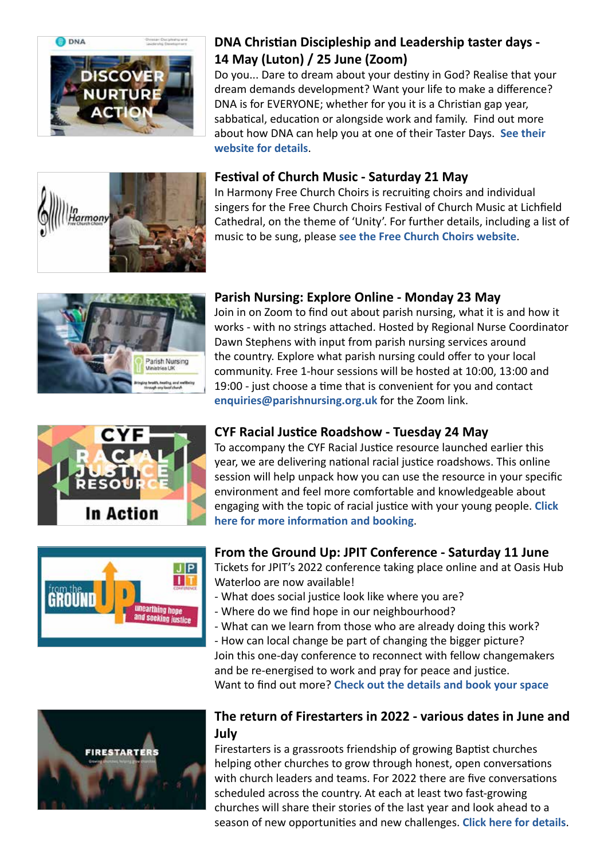

# **DNA Christian Discipleship and Leadership taster days - 14 May (Luton) / 25 June (Zoom)**

Do you... Dare to dream about your destiny in God? Realise that your dream demands development? Want your life to make a difference? DNA is for EVERYONE; whether for you it is a Christian gap year, sabbatical, education or alongside work and family. Find out more about how DNA can help you at one of their Taster Days. **[See their](https://dna-uk.org/taster-days/)  [website for details](https://dna-uk.org/taster-days/)**.

# ..<br>Iarmony

## **Festival of Church Music - Saturday 21 May**

In Harmony Free Church Choirs is recruiting choirs and individual singers for the Free Church Choirs Festival of Church Music at Lichfield Cathedral, on the theme of 'Unity'. For further details, including a list of music to be sung, please **[see the Free Church Choirs website](https://www.freechurchchoirs.org.uk/index.html)**.



## **Parish Nursing: Explore Online - Monday 23 May**

Join in on Zoom to find out about parish nursing, what it is and how it works - with no strings attached. Hosted by Regional Nurse Coordinator Dawn Stephens with input from parish nursing services around the country. Explore what parish nursing could offer to your local community. Free 1-hour sessions will be hosted at 10:00, 13:00 and 19:00 - just choose a time that is convenient for you and contact **enquiries@parishnursing.org.uk** for the Zoom link.



# $J$  $P$  $\mathbf{H}$ GRAIINT unearthing hope **d seeking justice**

# **CYF Racial Justice Roadshow - Tuesday 24 May**

To accompany the CYF Racial Justice resource launched earlier this year, we are delivering national racial justice roadshows. This online session will help unpack how you can use the resource in your specific environment and feel more comfortable and knowledgeable about engaging with the topic of racial justice with your young people. **[Click](https://www.baptist.org.uk/Articles/634623/CYF_Racial_Justice.aspx)  [here for more information and booking](https://www.baptist.org.uk/Articles/634623/CYF_Racial_Justice.aspx)**.

## **From the Ground Up: JPIT Conference - Saturday 11 June**

Tickets for JPIT's 2022 conference taking place online and at Oasis Hub Waterloo are now available!

- What does social justice look like where you are?
- Where do we find hope in our neighbourhood?
- What can we learn from those who are already doing this work?
- How can local change be part of changing the bigger picture? Join this one-day conference to reconnect with fellow changemakers and be re-energised to work and pray for peace and justice.

Want to find out more? **[Check out the details and book your space](https://www.eventbrite.co.uk/e/from-the-ground-up-unearthing-hope-and-seeking-justice-tickets-244501399267)**



## **The return of Firestarters in 2022 - various dates in June and July**

Firestarters is a grassroots friendship of growing Baptist churches helping other churches to grow through honest, open conversations with church leaders and teams. For 2022 there are five conversations scheduled across the country. At each at least two fast-growing churches will share their stories of the last year and look ahead to a season of new opportunities and new challenges. **[Click here for details](https://www.baptist.org.uk/Articles/630988/The_return_of.aspx)**.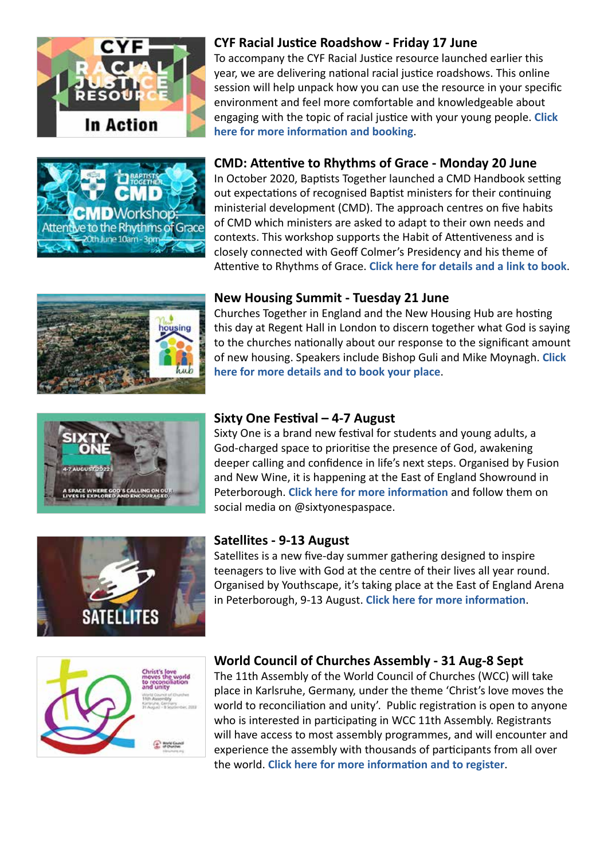





To accompany the CYF Racial Justice resource launched earlier this year, we are delivering national racial justice roadshows. This online session will help unpack how you can use the resource in your specific environment and feel more comfortable and knowledgeable about engaging with the topic of racial justice with your young people. **[Click](https://www.baptist.org.uk/Articles/634907/CYF_Racial_Justice.aspx)  [here for more information and booking](https://www.baptist.org.uk/Articles/634907/CYF_Racial_Justice.aspx)**.

# **CMD: Attentive to Rhythms of Grace - Monday 20 June**

In October 2020, Baptists Together launched a CMD Handbook setting out expectations of recognised Baptist ministers for their continuing ministerial development (CMD). The approach centres on five habits of CMD which ministers are asked to adapt to their own needs and contexts. This workshop supports the Habit of Attentiveness and is closely connected with Geoff Colmer's Presidency and his theme of Attentive to Rhythms of Grace. **[Click here for details and a link to book](https://www.baptist.org.uk/Articles/629585/CMD_Workshop_on.aspx)**.



### **New Housing Summit - Tuesday 21 June**

Churches Together in England and the New Housing Hub are hosting this day at Regent Hall in London to discern together what God is saying to the churches nationally about our response to the significant amount of new housing. Speakers include Bishop Guli and Mike Moynagh. **[Click](https://www.eventbrite.co.uk/e/new-housing-summit-tickets-256106119297)  [here for more details and to book your place](https://www.eventbrite.co.uk/e/new-housing-summit-tickets-256106119297)**.



### **Sixty One Festival – 4-7 August**

Sixty One is a brand new festival for students and young adults, a God-charged space to prioritise the presence of God, awakening deeper calling and confidence in life's next steps. Organised by Fusion and New Wine, it is happening at the East of England Showround in Peterborough. **[Click here for more information](https://www.sixtyone.space)** and follow them on social media on @sixtyonespaspace.



### **Satellites - 9-13 August**

Satellites is a new five-day summer gathering designed to inspire teenagers to live with God at the centre of their lives all year round. Organised by Youthscape, it's taking place at the East of England Arena in Peterborough, 9-13 August. **[Click here for more information](https://www.youthscape.co.uk/satellites)**.



### **World Council of Churches Assembly - 31 Aug-8 Sept**

The 11th Assembly of the World Council of Churches (WCC) will take place in Karlsruhe, Germany, under the theme 'Christ's love moves the world to reconciliation and unity'. Public registration is open to anyone who is interested in participating in WCC 11th Assembly. Registrants will have access to most assembly programmes, and will encounter and experience the assembly with thousands of participants from all over the world. **[Click here for more information and to register](https://www.oikoumene.org/about-the-wcc/organizational-structure/assembly)**.